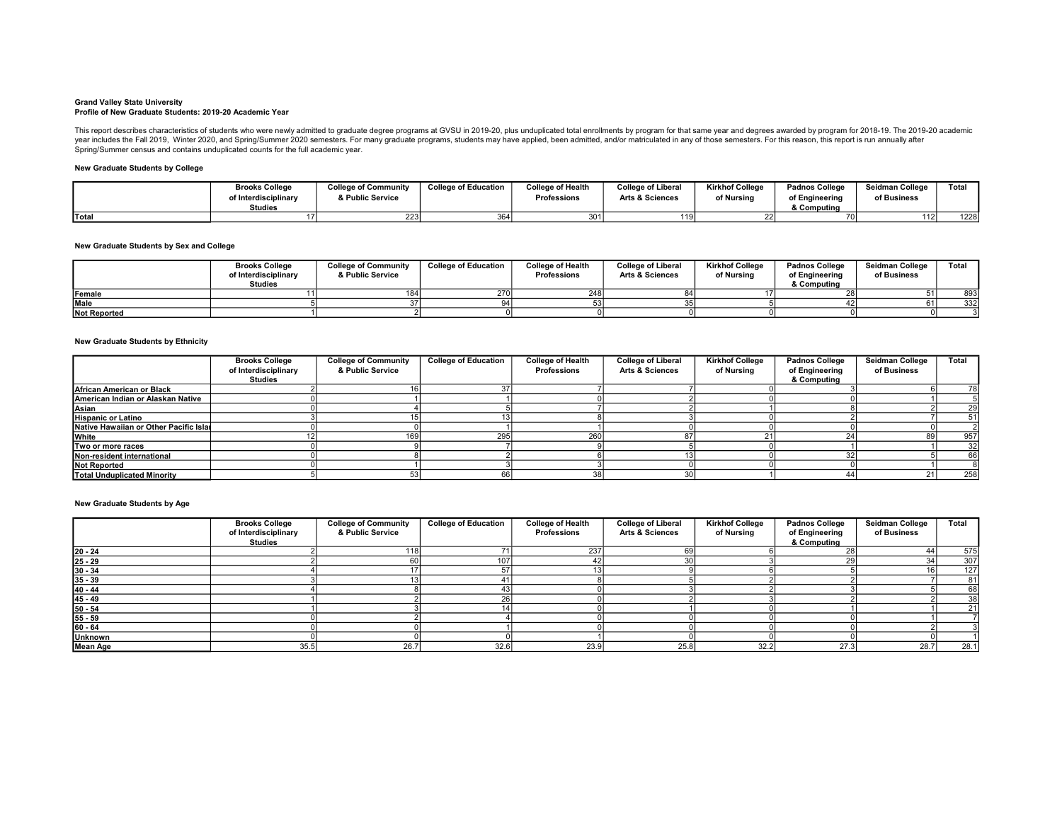#### Grand Valley State University Profile of New Graduate Students: 2019-20 Academic Year

This report describes characteristics of students who were newly admitted to graduate degree programs at GVSU in 2019-20, plus unduplicated total enrollments by program for that same year and degrees awarded by program for

### New Graduate Students by College

|              | <b>Brooks College</b> | <b>College of Community</b> | <b>College of Education</b> | College of Health  | <b>College of Liberal</b>  | <b>Kirkhof College</b> | <b>Padnos College</b> | Seidman College | Total |
|--------------|-----------------------|-----------------------------|-----------------------------|--------------------|----------------------------|------------------------|-----------------------|-----------------|-------|
|              | of Interdisciplinary  | & Public Service            |                             | <b>Professions</b> | <b>Arts &amp; Sciences</b> | of Nursina             | of Engineering        | of Business     |       |
|              | Studies               |                             |                             |                    |                            |                        | & Computing           |                 |       |
| <b>Total</b> |                       | 223                         | 364                         | 301                | 1 1 C                      |                        |                       | 112             | 1228  |

### New Graduate Students by Sex and College

|                     | <b>Brooks College</b><br>of Interdisciplinarv<br>Studies | <b>College of Community</b><br>& Public Service | <b>College of Education</b> | <b>College of Health</b><br><b>Professions</b> | <b>College of Liberal</b><br><b>Arts &amp; Sciences</b> | <b>Kirkhof College</b><br>of Nursina | <b>Padnos College</b><br>of Engineering<br>& Computing | Seidman College<br>of Business | Total |
|---------------------|----------------------------------------------------------|-------------------------------------------------|-----------------------------|------------------------------------------------|---------------------------------------------------------|--------------------------------------|--------------------------------------------------------|--------------------------------|-------|
| Female              |                                                          | 184                                             |                             |                                                |                                                         |                                      |                                                        |                                | 893   |
| <b>Male</b>         |                                                          |                                                 |                             |                                                |                                                         |                                      |                                                        |                                | 332   |
| <b>Not Reported</b> |                                                          |                                                 |                             |                                                |                                                         |                                      |                                                        |                                |       |

### New Graduate Students by Ethnicity

|                                        | <b>Brooks College</b><br>of Interdisciplinary<br><b>Studies</b> | <b>College of Community</b><br>& Public Service | <b>College of Education</b> | <b>College of Health</b><br><b>Professions</b> | <b>College of Liberal</b><br><b>Arts &amp; Sciences</b> | <b>Kirkhof College</b><br>of Nursina | <b>Padnos College</b><br>of Engineering<br>& Computing | Seidman College<br>of Business | Total      |
|----------------------------------------|-----------------------------------------------------------------|-------------------------------------------------|-----------------------------|------------------------------------------------|---------------------------------------------------------|--------------------------------------|--------------------------------------------------------|--------------------------------|------------|
| African American or Black              |                                                                 |                                                 |                             |                                                |                                                         |                                      |                                                        |                                | 78 I       |
| American Indian or Alaskan Native      |                                                                 |                                                 |                             |                                                |                                                         |                                      |                                                        |                                |            |
| Asian                                  |                                                                 |                                                 |                             |                                                |                                                         |                                      |                                                        |                                | <b>291</b> |
| <b>Hispanic or Latino</b>              |                                                                 |                                                 |                             |                                                |                                                         |                                      |                                                        |                                |            |
| Native Hawaiian or Other Pacific Islan |                                                                 |                                                 |                             |                                                |                                                         |                                      |                                                        |                                |            |
| White                                  |                                                                 |                                                 | 295                         | 26                                             |                                                         |                                      |                                                        | 89                             | 957        |
| <b>Two or more races</b>               |                                                                 |                                                 |                             |                                                |                                                         |                                      |                                                        |                                | -32 l      |
| Non-resident international             |                                                                 |                                                 |                             |                                                |                                                         |                                      |                                                        |                                | 66 I       |
| <b>Not Reported</b>                    |                                                                 |                                                 |                             |                                                |                                                         |                                      |                                                        |                                |            |
| <b>Total Unduplicated Minority</b>     |                                                                 |                                                 |                             |                                                |                                                         |                                      |                                                        |                                | 258        |

### New Graduate Students by Age

|                           | <b>Brooks College</b><br>of Interdisciplinary | <b>College of Community</b><br>& Public Service | <b>College of Education</b> | <b>College of Health</b><br>Professions | <b>College of Liberal</b><br><b>Arts &amp; Sciences</b> | <b>Kirkhof College</b><br>of Nursing | <b>Padnos College</b><br>of Engineering | Seidman College<br>of Business | Total           |
|---------------------------|-----------------------------------------------|-------------------------------------------------|-----------------------------|-----------------------------------------|---------------------------------------------------------|--------------------------------------|-----------------------------------------|--------------------------------|-----------------|
|                           | Studies                                       |                                                 |                             |                                         |                                                         |                                      | & Computing                             |                                |                 |
| $20 - 24$                 |                                               | 1181                                            |                             | 237                                     |                                                         |                                      | 28                                      | 44                             | 575             |
| $\frac{25 - 29}{30 - 34}$ |                                               |                                                 | 107                         |                                         |                                                         |                                      | 29                                      | 34                             | 307             |
|                           |                                               |                                                 |                             |                                         |                                                         |                                      |                                         |                                | 127             |
| $35 - 39$                 |                                               |                                                 | 41                          |                                         |                                                         |                                      |                                         |                                | 81              |
| $40 - 44$                 |                                               |                                                 | 431                         |                                         |                                                         |                                      |                                         |                                | 68              |
| $45 - 49$                 |                                               |                                                 |                             |                                         |                                                         |                                      |                                         |                                | 38 <sup>1</sup> |
| $50 - 54$                 |                                               |                                                 |                             |                                         |                                                         |                                      |                                         |                                |                 |
| $55 - 59$                 |                                               |                                                 |                             |                                         |                                                         |                                      |                                         |                                |                 |
| $60 - 64$                 |                                               |                                                 |                             |                                         |                                                         |                                      |                                         |                                |                 |
| <b>Unknown</b>            |                                               |                                                 |                             |                                         |                                                         |                                      |                                         |                                |                 |
| <b>Mean Age</b>           | 35.5                                          | 26.7                                            | 32.6                        | 23.9                                    | 25.8                                                    | 32.2                                 | 27.3                                    | 28.7                           | 28.1            |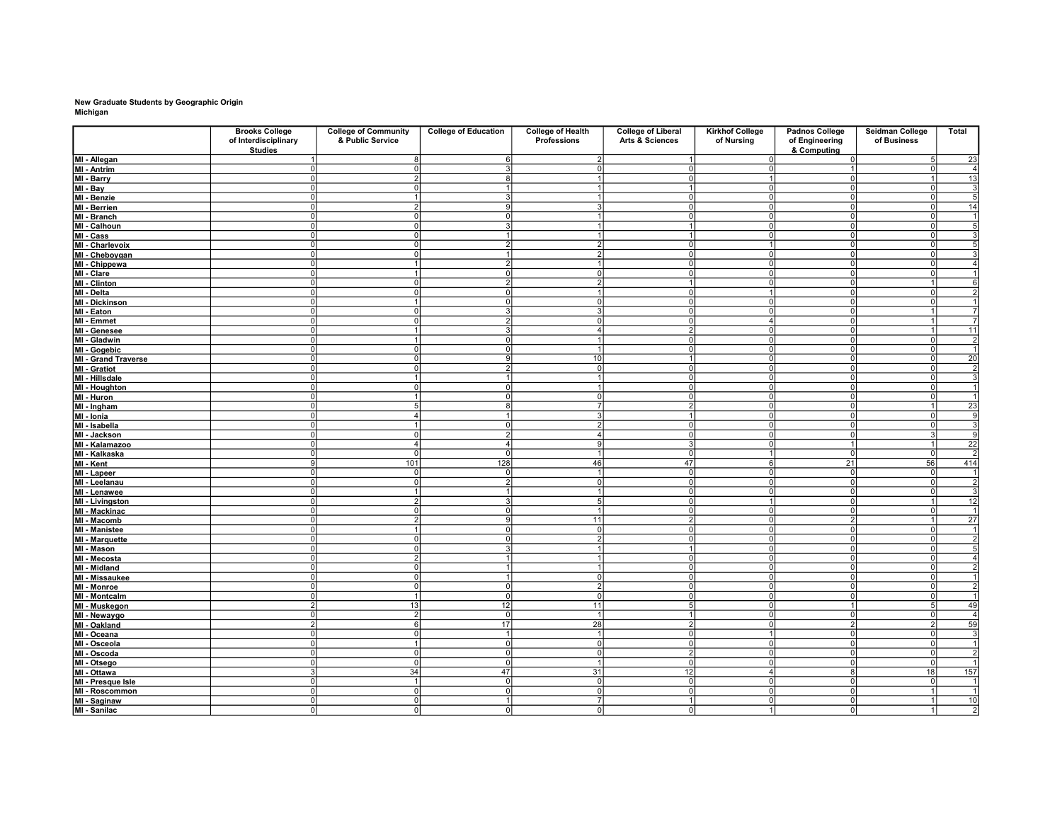## New Graduate Students by Geographic Origin Michigan

|                                 | <b>Brooks College</b>       | <b>College of Community</b>    | <b>College of Education</b> | <b>College of Health</b>         | <b>College of Liberal</b>  | <b>Kirkhof College</b>           | <b>Padnos College</b>      | Seidman College            | Total                   |
|---------------------------------|-----------------------------|--------------------------------|-----------------------------|----------------------------------|----------------------------|----------------------------------|----------------------------|----------------------------|-------------------------|
|                                 | of Interdisciplinary        | & Public Service               |                             | Professions                      | <b>Arts &amp; Sciences</b> | of Nursing                       | of Engineering             | of Business                |                         |
|                                 | <b>Studies</b><br>$\vert$ 1 |                                | 6I                          |                                  | 1                          |                                  | & Computing                |                            |                         |
| MI - Allegan<br>MI - Antrim     | $\Omega$                    | 8<br>οI                        | 3                           | $\overline{2}$<br>$\overline{0}$ | οI                         | 0 <br>$\overline{0}$             | 0                          | 5 <sub>1</sub><br>$\Omega$ | 23<br>$\overline{4}$    |
|                                 | 0I                          | $\overline{2}$                 | 81                          | $\mathbf{1}$                     | 0                          | $\overline{1}$                   | $\overline{0}$             |                            | 13                      |
| MI - Barry<br>$M - Bay$         | $\Omega$                    | $\Omega$                       |                             | $\overline{1}$                   | 1                          | $\overline{0}$                   | $\Omega$                   | $\Omega$                   | $\mathbf{3}$            |
| MI - Benzie                     | $\Omega$                    | $\mathbf{1}$                   | 3                           | $\mathbf{1}$                     | 0                          | $\overline{0}$                   | $\circ$                    |                            | 5<br>٥I                 |
| MI - Berrien                    | $\Omega$                    | $\overline{2}$                 | $\mathbf{Q}$                | 3 <sup>1</sup>                   | 0                          | $\overline{0}$                   | $\overline{0}$             | $\Omega$                   | 14                      |
| MI - Branch                     | $\Omega$                    | 0l                             | $\Omega$                    | $\mathbf{1}$                     | οI                         | $\overline{0}$                   | $\Omega$                   | n                          | 1                       |
| MI - Calhoun                    | 0l                          | 0                              | 31                          | 11                               | 11                         | 0                                | $\overline{0}$             | 0l                         | 5                       |
| MI - Cass                       | $\Omega$                    | $\overline{\mathfrak{o}}$      |                             | $\overline{1}$                   | $\overline{1}$             | $\overline{0}$                   | $\overline{0}$             | $\Omega$                   | 3                       |
| MI - Charlevoix                 | $\Omega$                    | -ol                            | $\overline{2}$              | $\overline{2}$                   | 0                          | $\vert$ 1                        | $\overline{0}$             | 0l                         | $5\overline{)}$         |
| MI - Cheboygan                  | $\Omega$                    | 0l                             |                             | $\mathcal{D}$                    | $\Omega$                   | $\overline{0}$                   | $\Omega$                   | $\cap$                     |                         |
| MI - Chippewa                   | $\Omega$                    | 1                              | $\overline{2}$              | $\mathbf{1}$                     | $\overline{0}$             | $\overline{0}$                   | $\overline{0}$             | $\Omega$                   | $\frac{3}{4}$           |
| MI - Clare                      | 0I                          | -1 I                           | $\Omega$                    | $\Omega$                         | 0                          | 0l                               | $\Omega$                   | $\Omega$                   | 1                       |
| MI - Clinton                    | $\Omega$                    | $\overline{0}$                 | $\overline{2}$              | $\overline{2}$                   | $\mathbf{1}$               | 0                                | $\overline{0}$             |                            | $\overline{6}$          |
| MI - Delta                      | $\Omega$                    | -ol                            | ΩI                          | $\mathbf{1}$                     | $\Omega$                   | $\overline{1}$                   | $\Omega$                   | $\Omega$                   | $\overline{2}$          |
| MI - Dickinson                  | $\Omega$                    | $\overline{1}$                 | ΩI                          | $\Omega$                         | $\overline{0}$             | $\overline{0}$                   | $\overline{0}$             | $\Omega$                   | $\overline{1}$          |
| MI - Eaton                      | 0l                          | 0                              | 3                           | 3                                | 0                          | 0                                | $\circ$                    |                            | $\overline{7}$          |
| MI - Emmet                      | $\Omega$                    | $\overline{\mathfrak{o}}$      | $\overline{2}$              | $\overline{0}$                   | $\overline{\mathfrak{o}}$  | $\overline{4}$                   | $\overline{0}$             |                            | 7                       |
| MI - Genesee                    | $\Omega$                    | $\mathbf{1}$                   | R                           | 4 <sup>1</sup>                   | $\overline{2}$             | $\overline{0}$                   | $\overline{0}$             |                            | 11                      |
| MI - Gladwin                    | $\Omega$                    | 1                              | ΩI                          | $\mathbf{1}$                     | $\Omega$                   | $\overline{0}$                   | $\Omega$                   | 0I                         | $\overline{2}$          |
| MI - Gogebic                    | $\Omega$                    | ō                              | ΩI                          | $\overline{1}$                   | $\overline{0}$             | $\overline{0}$                   | $\Omega$                   | $\Omega$                   | $\overline{1}$          |
| MI - Grand Traverse             | $\Omega$                    | 0                              | 9                           | 10 <sup>1</sup>                  | $\mathbf{1}$               | $\overline{0}$                   | $\overline{0}$             | 0I                         | 20                      |
| MI - Gratiot                    | $\Omega$                    | $\overline{0}$                 | $\overline{2}$              | $\Omega$                         | $\overline{0}$             | $\overline{0}$                   | $\overline{0}$             | $\Omega$                   | $\frac{2}{3}$           |
| MI - Hillsdale                  | $\Omega$                    | 1                              |                             | $\overline{1}$                   | 0                          | $\Omega$                         | $\overline{0}$             | $\Omega$                   |                         |
| MI - Houghton                   | $\Omega$                    | -ol                            | οI                          | 1                                | 0                          | $\overline{0}$                   | $\Omega$                   | 0l                         | 1                       |
| MI - Huron                      | $\Omega$                    | $\overline{1}$                 | ΩI                          | $\Omega$                         | οI                         | $\Omega$                         | $\Omega$                   | $\Omega$                   | $\overline{1}$          |
| MI - Ingham                     | $\Omega$                    | 5                              | 8                           | $\overline{7}$                   | $\overline{2}$             | $\overline{0}$                   | $\overline{0}$             |                            | 23                      |
| MI - Ionia                      | $\Omega$                    | 4                              |                             | $\overline{\mathbf{3}}$          | 1                          | $\overline{0}$                   | $\overline{0}$             | $\Omega$                   | $9\,$                   |
| MI - Isabella                   | $\Omega$                    | $\mathbf{1}$                   | οI                          | $\mathfrak{p}$                   | 0                          | $\overline{0}$                   | $\overline{0}$             | $\Omega$                   | 3                       |
| MI - Jackson                    | $\Omega$                    | -ol                            | $\overline{2}$              | 4 <sup>1</sup>                   | 0                          | $\overline{0}$                   | $\overline{0}$             | $\mathbf{R}$               | 9                       |
| MI - Kalamazoo                  | $\Omega$                    | 4 <sup>1</sup>                 | 4                           | g                                | 3                          | $\overline{0}$                   |                            |                            | 22                      |
| MI - Kalkaska                   | 0l<br>g                     | $\overline{0}$<br>101          | 0l                          | 1<br>46                          | -ol<br>47                  | $\vert$ 1                        | $\overline{0}$<br>21       | -ol                        | $\overline{2}$          |
| MI - Kent                       |                             |                                | 128                         | $\mathbf{1}$                     |                            | 6                                |                            | 56                         | 414                     |
| MI - Lapeer                     | $\Omega$<br>$\Omega$        | $\overline{0}$<br>$\mathbf{0}$ | 0<br>$\mathcal{P}$          | $\Omega$                         | 0<br>0                     | $\overline{0}$<br>$\overline{0}$ | $\overline{0}$<br>$\Omega$ | 0l<br>$\Omega$             | 1                       |
| MI - Leelanau                   | $\Omega$                    | $\overline{1}$                 |                             | $\overline{1}$                   | $\overline{0}$             | $\overline{0}$                   | $\Omega$                   | U                          | $\frac{2}{3}$           |
| MI - Lenawee<br>MI - Livingston | 0I                          | 2 <sup>1</sup>                 | 3I                          | 5                                | 0l                         | $\vert$ 1                        | $\overline{0}$             | $\mathbf{1}$               | 12                      |
| MI - Mackinac                   | $\Omega$                    | $\overline{0}$                 | οI                          | $\overline{1}$                   | ᅁ                          | $\overline{0}$                   | $\overline{0}$             | 0                          | $\overline{1}$          |
| MI - Macomb                     | $\Omega$                    | 2 <sup>1</sup>                 | 9                           | 11                               | $\overline{2}$             | 0                                | $\overline{2}$             |                            | 27                      |
| MI - Manistee                   | $\Omega$                    | $\overline{1}$                 | $\overline{0}$              | $\overline{0}$                   | $\overline{0}$             | $\overline{0}$                   | $\Omega$                   | $\Omega$                   | $\overline{1}$          |
| MI - Marquette                  | 0l                          | 0                              | οI                          | $\overline{2}$                   | $\circ$                    | 0                                | $\overline{0}$             | $\Omega$                   | $\overline{2}$          |
| MI - Mason                      | ΩI                          | -ol                            | зI                          | 1                                | $\mathbf{1}$               | $\overline{0}$                   | $\Omega$                   | $\Omega$                   | $\overline{5}$          |
| MI - Mecosta                    | $\Omega$                    | $\overline{2}$                 |                             | $\mathbf{1}$                     | 0                          | $\overline{0}$                   | $\overline{0}$             | $\Omega$                   | $\overline{4}$          |
| MI - Midland                    | $\Omega$                    | -ol                            | 1                           | $\mathbf{1}$                     | $\Omega$                   | $\Omega$                         | $\Omega$                   | ΩI                         | $\overline{2}$          |
| MI - Missaukee                  | $\Omega$                    | $\overline{0}$                 |                             | $\overline{0}$                   | $\overline{0}$             | $\overline{0}$                   | $\Omega$                   | $\overline{0}$             | $\overline{1}$          |
| MI - Monroe                     | $\Omega$                    | $\overline{0}$                 | ΩI                          | $\overline{2}$                   | 0                          | $\overline{0}$                   | $\overline{0}$             | $\Omega$                   | $\overline{2}$          |
| MI - Montcalm                   | $\Omega$                    | $\overline{1}$                 | $\Omega$                    | $\Omega$                         | 0                          | $\overline{0}$                   | $\overline{0}$             | $\Omega$                   | $\overline{1}$          |
| MI - Muskegon                   |                             | 13                             | 12                          | 11                               | 5 <sub>l</sub>             | $\overline{0}$                   |                            | 5 <sup>1</sup>             | 49                      |
| MI - Newaygo                    | $\Omega$                    | $\overline{2}$                 | 0l                          | $\vert$ 1                        | 1                          | $\overline{0}$                   | $\overline{0}$             | 0l                         | $\overline{4}$          |
| MI - Oakland                    | っ                           | 6                              | 17                          | 28                               | $\overline{2}$             | $\overline{0}$                   | $\overline{2}$             | $\overline{2}$             | 59                      |
| MI - Oceana                     | 0I                          | -ol                            | 1                           | $\vert$ 1                        | 0l                         | $\vert$ 1                        | $\overline{0}$             | 0l                         | $\overline{\mathbf{3}}$ |
| MI - Osceola                    | $\Omega$                    | $\overline{1}$                 | $\overline{0}$              | $\overline{0}$                   | οI                         | $\overline{0}$                   | $\overline{0}$             | $\overline{0}$             | $\overline{1}$          |
| MI - Oscoda                     | $\Omega$                    | 0l                             | $\Omega$                    | $\Omega$                         | $\overline{2}$             | $\overline{0}$                   | $\overline{0}$             | 0l                         | $\overline{2}$          |
| MI - Otsego                     | $\Omega$                    | $\Omega$                       | ΩI                          | 1                                | $\Omega$                   | $\overline{0}$                   | $\Omega$                   | $\Omega$                   | $\overline{1}$          |
| MI - Ottawa                     | 3                           | 34                             | 47                          | 31                               | 12                         | $\vert$                          | 8                          | 18 <sup>1</sup>            | 157                     |
| MI - Presque Isle               | 0l                          | 1                              | 0l                          | 0                                | 0                          | $\overline{0}$                   | $\overline{0}$             | 0l                         | $\mathbf{1}$            |
| MI - Roscommon                  | $\overline{0}$              | $\overline{0}$                 | σI                          | $\overline{0}$                   | σI                         | $\overline{0}$                   | $\overline{0}$             |                            | $\overline{1}$          |
| MI - Saginaw                    | $\Omega$                    | ol                             |                             | $\overline{7}$                   | $\mathbf{1}$               | $\overline{0}$                   | $\overline{0}$             |                            | 10                      |
| MI - Sanilac                    | ΩI                          | 0l                             | οI                          | 0                                | $\Omega$                   | $\mathbf{1}$                     | 0                          |                            | $\overline{2}$          |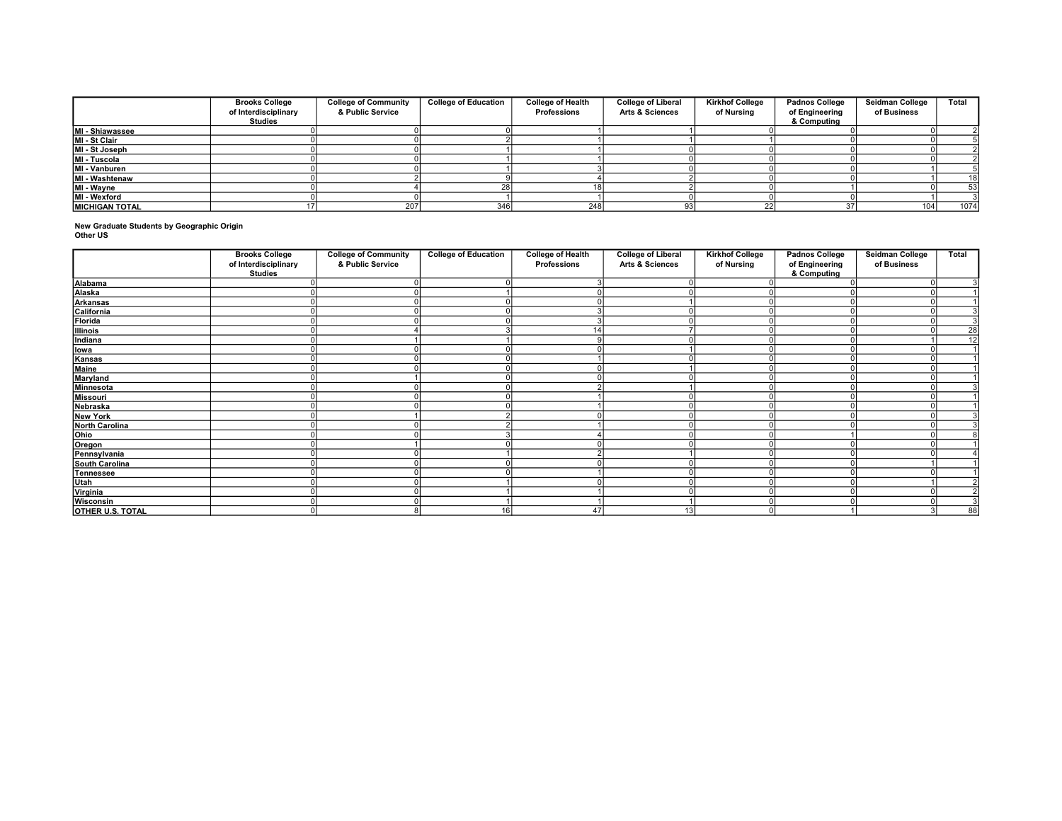|                        | <b>Brooks College</b><br>of Interdisciplinary | <b>College of Community</b><br>& Public Service | <b>College of Education</b> | <b>College of Health</b><br><b>Professions</b> | <b>College of Liberal</b><br><b>Arts &amp; Sciences</b> | <b>Kirkhof College</b><br>of Nursing | <b>Padnos College</b><br>of Engineering | Seidman College<br>of Business | Total |
|------------------------|-----------------------------------------------|-------------------------------------------------|-----------------------------|------------------------------------------------|---------------------------------------------------------|--------------------------------------|-----------------------------------------|--------------------------------|-------|
|                        | Studies                                       |                                                 |                             |                                                |                                                         |                                      | & Computing                             |                                |       |
| MI - Shiawassee        |                                               |                                                 |                             |                                                |                                                         |                                      |                                         |                                |       |
| MI - St Clair          |                                               |                                                 |                             |                                                |                                                         |                                      |                                         |                                |       |
| MI - St Joseph         |                                               |                                                 |                             |                                                |                                                         |                                      |                                         |                                |       |
| MI - Tuscola           |                                               |                                                 |                             |                                                |                                                         |                                      |                                         |                                |       |
| MI - Vanburen          |                                               |                                                 |                             |                                                |                                                         |                                      |                                         |                                |       |
| MI - Washtenaw         |                                               |                                                 |                             |                                                |                                                         |                                      |                                         |                                | 18    |
| MI - Wayne             |                                               |                                                 |                             |                                                |                                                         |                                      |                                         |                                | 53    |
| MI - Wexford           |                                               |                                                 |                             |                                                |                                                         |                                      |                                         |                                |       |
| <b>IMICHIGAN TOTAL</b> |                                               | 207                                             | 346                         | 248                                            |                                                         | 22 <sub>1</sub>                      | 37                                      | 104                            | 1074  |

New Graduate Students by Geographic Origin Other US

|                         | <b>Brooks College</b><br>of Interdisciplinary<br><b>Studies</b> | <b>College of Community</b><br>& Public Service | <b>College of Education</b> | <b>College of Health</b><br><b>Professions</b> | <b>College of Liberal</b><br><b>Arts &amp; Sciences</b> | <b>Kirkhof College</b><br>of Nursing | Padnos College<br>of Engineering<br>& Computing | Seidman College<br>of Business | Total                   |
|-------------------------|-----------------------------------------------------------------|-------------------------------------------------|-----------------------------|------------------------------------------------|---------------------------------------------------------|--------------------------------------|-------------------------------------------------|--------------------------------|-------------------------|
| Alabama                 |                                                                 |                                                 |                             |                                                |                                                         |                                      |                                                 |                                | 3                       |
| Alaska                  |                                                                 |                                                 |                             |                                                |                                                         |                                      |                                                 |                                |                         |
| Arkansas                |                                                                 |                                                 |                             |                                                |                                                         |                                      |                                                 |                                | $\mathbf{1}$            |
| California              |                                                                 |                                                 |                             |                                                |                                                         |                                      |                                                 |                                | $\overline{\mathbf{3}}$ |
| Florida                 |                                                                 |                                                 |                             |                                                |                                                         |                                      |                                                 |                                |                         |
| <b>Illinois</b>         |                                                                 |                                                 |                             | 14                                             |                                                         |                                      |                                                 |                                | $\overline{28}$         |
| Indiana                 |                                                                 |                                                 |                             |                                                |                                                         |                                      |                                                 |                                | 12                      |
| lowa                    |                                                                 |                                                 |                             |                                                |                                                         |                                      |                                                 |                                | 7                       |
| Kansas                  |                                                                 |                                                 |                             |                                                |                                                         |                                      |                                                 |                                | $\mathbf{1}$            |
| Maine                   |                                                                 |                                                 |                             |                                                |                                                         |                                      |                                                 |                                |                         |
| Maryland                |                                                                 |                                                 |                             |                                                |                                                         |                                      |                                                 |                                | $\overline{ }$          |
| Minnesota               |                                                                 |                                                 |                             |                                                |                                                         |                                      |                                                 |                                | 3                       |
| Missouri                |                                                                 |                                                 |                             |                                                |                                                         |                                      |                                                 |                                |                         |
| Nebraska                |                                                                 |                                                 |                             |                                                |                                                         |                                      |                                                 |                                | $\overline{1}$          |
| New York                |                                                                 |                                                 |                             |                                                |                                                         |                                      |                                                 |                                | $\overline{3}$          |
| North Carolina          |                                                                 |                                                 |                             |                                                |                                                         |                                      |                                                 |                                |                         |
| Ohio                    |                                                                 |                                                 |                             |                                                |                                                         |                                      |                                                 |                                | 8                       |
| Oregon                  |                                                                 |                                                 |                             |                                                |                                                         |                                      |                                                 |                                |                         |
| Pennsylvania            |                                                                 |                                                 |                             |                                                |                                                         |                                      |                                                 |                                |                         |
| South Carolina          |                                                                 |                                                 |                             |                                                |                                                         |                                      |                                                 |                                |                         |
| Tennessee               |                                                                 |                                                 |                             |                                                |                                                         |                                      |                                                 |                                |                         |
| Utah                    |                                                                 |                                                 |                             |                                                |                                                         |                                      |                                                 |                                | $\overline{2}$          |
| Virginia                |                                                                 |                                                 |                             |                                                |                                                         |                                      |                                                 |                                | $\overline{2}$          |
| Wisconsin               |                                                                 |                                                 |                             |                                                |                                                         |                                      |                                                 |                                |                         |
| <b>OTHER U.S. TOTAL</b> |                                                                 |                                                 | 16 <sub>1</sub>             | 47                                             | 13                                                      |                                      |                                                 |                                | 88                      |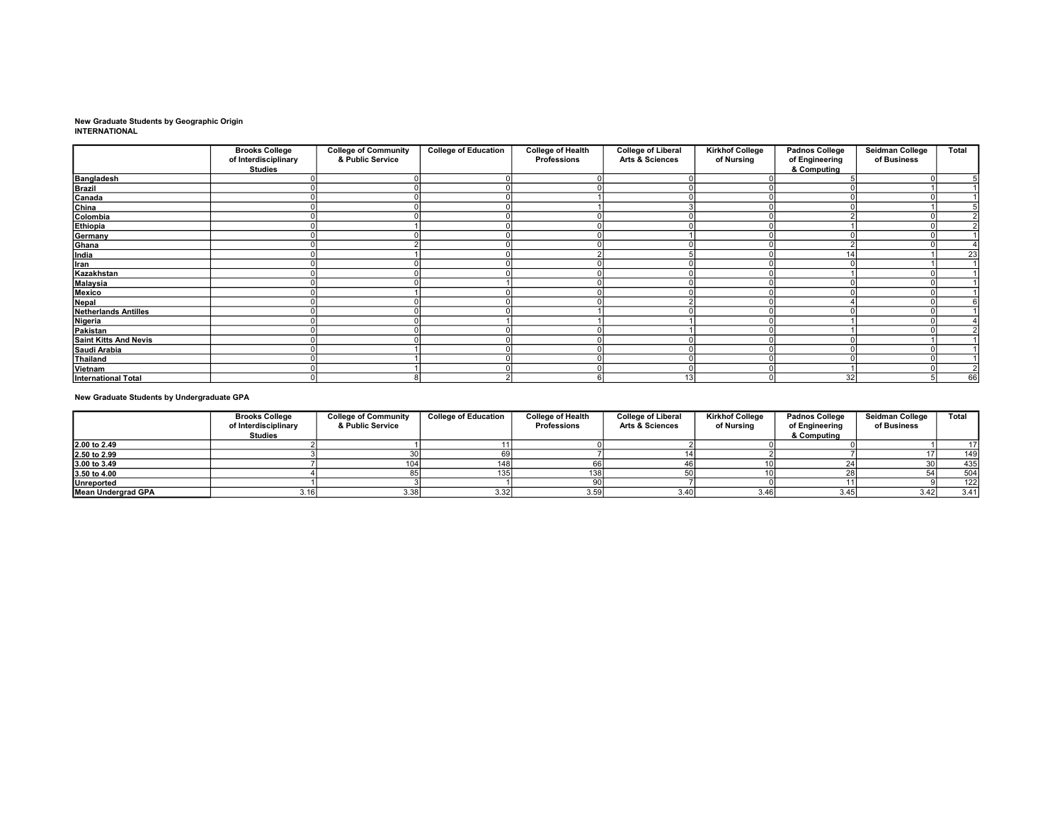# New Graduate Students by Geographic Origin INTERNATIONAL

|                              | <b>Brooks College</b>                  | <b>College of Community</b> | <b>College of Education</b> | <b>College of Health</b> | <b>College of Liberal</b>  | <b>Kirkhof College</b> | Padnos College                | Seidman College | Total          |
|------------------------------|----------------------------------------|-----------------------------|-----------------------------|--------------------------|----------------------------|------------------------|-------------------------------|-----------------|----------------|
|                              | of Interdisciplinary<br><b>Studies</b> | & Public Service            |                             | <b>Professions</b>       | <b>Arts &amp; Sciences</b> | of Nursing             | of Engineering<br>& Computing | of Business     |                |
|                              |                                        |                             |                             |                          |                            |                        |                               |                 |                |
| <b>Bangladesh</b>            |                                        |                             |                             |                          |                            |                        |                               |                 | 5 <sub>l</sub> |
| <b>Brazil</b>                |                                        |                             |                             |                          |                            |                        |                               |                 |                |
| <b>Canada</b>                |                                        |                             |                             |                          |                            |                        |                               |                 |                |
| China                        |                                        |                             |                             |                          |                            |                        |                               |                 |                |
| Colombia                     |                                        |                             |                             |                          |                            |                        |                               |                 | $\overline{2}$ |
| <b>Ethiopia</b>              |                                        |                             |                             |                          |                            |                        |                               |                 | $\overline{2}$ |
| Germany                      |                                        |                             |                             |                          |                            |                        |                               |                 |                |
| Ghana                        |                                        |                             |                             |                          |                            |                        |                               |                 |                |
| India                        |                                        |                             |                             |                          |                            |                        | 14                            |                 | 23             |
| Iran                         |                                        |                             |                             |                          |                            |                        |                               |                 |                |
| Kazakhstan                   |                                        |                             |                             |                          |                            |                        |                               |                 |                |
| Malaysia                     |                                        |                             |                             |                          |                            |                        |                               |                 |                |
| Mexico                       |                                        |                             |                             |                          |                            |                        |                               |                 |                |
| Nepal                        |                                        |                             |                             |                          |                            |                        |                               |                 | $6 \mid$       |
| Netherlands Antilles         |                                        |                             |                             |                          |                            |                        |                               |                 |                |
| Nigeria                      |                                        |                             |                             |                          |                            |                        |                               |                 |                |
| Pakistan                     |                                        |                             |                             |                          |                            |                        |                               |                 | $\overline{2}$ |
| <b>Saint Kitts And Nevis</b> |                                        |                             |                             |                          |                            |                        |                               |                 | 1              |
| Saudi Arabia                 |                                        |                             |                             |                          |                            |                        |                               |                 |                |
| Thailand                     |                                        |                             |                             |                          |                            |                        |                               |                 | 1              |
| Vietnam                      |                                        |                             |                             |                          |                            |                        |                               |                 | $\overline{2}$ |
| International Total          |                                        |                             |                             |                          | 13                         |                        | 32                            |                 | 66             |

### New Graduate Students by Undergraduate GPA

|                           | <b>Brooks College</b><br>of Interdisciplinary<br>Studies | <b>College of Community</b><br>& Public Service | <b>College of Education</b> | <b>College of Health</b><br><b>Professions</b> | <b>College of Liberal</b><br><b>Arts &amp; Sciences</b> | <b>Kirkhof College</b><br>of Nursina | <b>Padnos College</b><br>of Engineering<br>& Computing | Seidman College<br>of Business | Total |
|---------------------------|----------------------------------------------------------|-------------------------------------------------|-----------------------------|------------------------------------------------|---------------------------------------------------------|--------------------------------------|--------------------------------------------------------|--------------------------------|-------|
| 2.00 to 2.49              |                                                          |                                                 |                             |                                                |                                                         |                                      |                                                        |                                |       |
| 2.50 to 2.99              |                                                          |                                                 |                             |                                                |                                                         |                                      |                                                        |                                | 149   |
| 3.00 to 3.49              |                                                          | 104                                             |                             |                                                |                                                         |                                      |                                                        |                                | 435   |
| 3.50 to 4.00              |                                                          |                                                 |                             |                                                |                                                         |                                      |                                                        |                                | 504   |
| Unreported                |                                                          |                                                 |                             |                                                |                                                         |                                      |                                                        |                                | 122   |
| <b>Mean Undergrad GPA</b> | 3.16                                                     | 3.38                                            | 3.32                        | 3.59                                           | 3.40                                                    | 3.46                                 | 3.45                                                   | 3.42                           | 3.41  |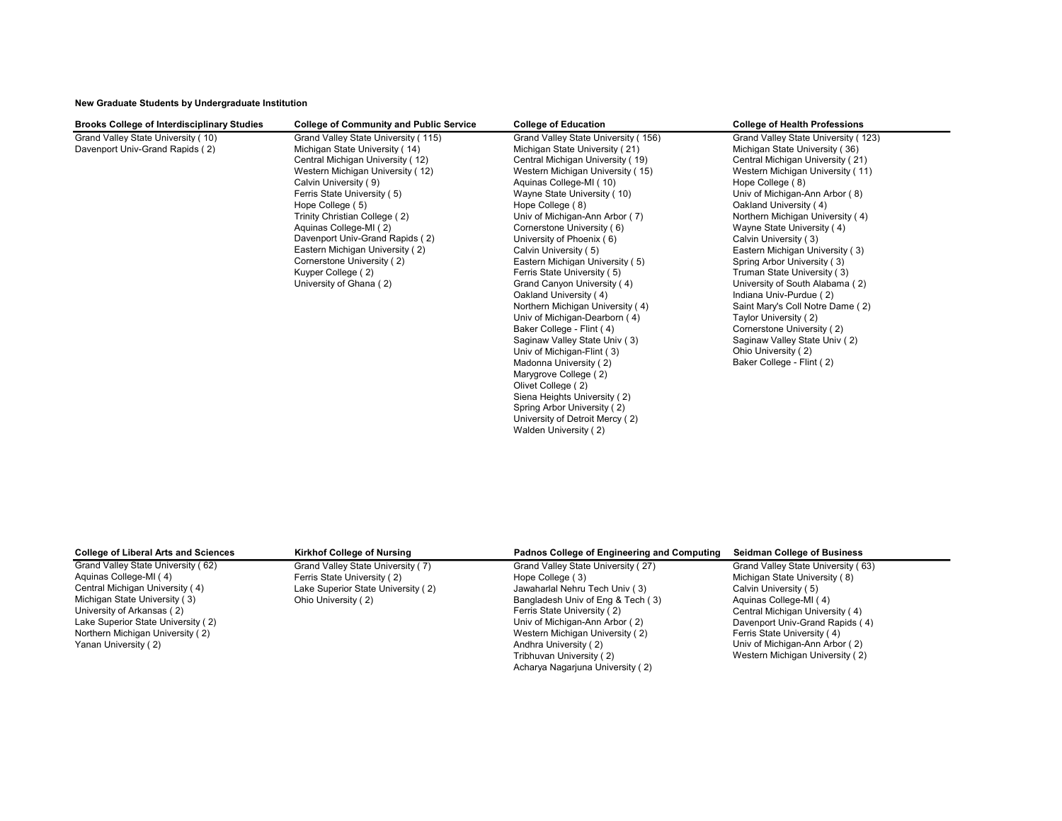### New Graduate Students by Undergraduate Institution

| <b>Brooks College of Interdisciplinary Studies</b> | <b>College of Community and Public Service</b> | <b>College of Education</b>         | <b>College of Health Professions</b> |
|----------------------------------------------------|------------------------------------------------|-------------------------------------|--------------------------------------|
| Grand Valley State University (10)                 | Grand Valley State University (115)            | Grand Valley State University (156) | Grand Valley State University (123)  |
| Davenport Univ-Grand Rapids (2)                    | Michigan State University (14)                 | Michigan State University (21)      | Michigan State University (36)       |
|                                                    | Central Michigan University (12)               | Central Michigan University (19)    | Central Michigan University (21)     |
|                                                    | Western Michigan University (12)               | Western Michigan University (15)    | Western Michigan University (11)     |
|                                                    | Calvin University (9)                          | Aquinas College-MI (10)             | Hope College (8)                     |
|                                                    | Ferris State University (5)                    | Wayne State University (10)         | Univ of Michigan-Ann Arbor (8)       |
|                                                    | Hope College (5)                               | Hope College (8)                    | Oakland University (4)               |
|                                                    | Trinity Christian College (2)                  | Univ of Michigan-Ann Arbor (7)      | Northern Michigan University (4)     |
|                                                    | Aquinas College-MI (2)                         | Cornerstone University (6)          | Wayne State University (4)           |
|                                                    | Davenport Univ-Grand Rapids (2)                | University of Phoenix (6)           | Calvin University (3)                |
|                                                    | Eastern Michigan University (2)                | Calvin University (5)               | Eastern Michigan University (3)      |
|                                                    | Cornerstone University (2)                     | Eastern Michigan University (5)     | Spring Arbor University (3)          |
|                                                    | Kuyper College (2)                             | Ferris State University (5)         | Truman State University (3)          |
|                                                    | University of Ghana (2)                        | Grand Canyon University (4)         | University of South Alabama (2)      |
|                                                    |                                                | Oakland University (4)              | Indiana Univ-Purdue (2)              |
|                                                    |                                                | Northern Michigan University (4)    | Saint Mary's Coll Notre Dame (2)     |
|                                                    |                                                | Univ of Michigan-Dearborn (4)       | Taylor University (2)                |
|                                                    |                                                | Baker College - Flint (4)           | Cornerstone University (2)           |
|                                                    |                                                | Saginaw Valley State Univ (3)       | Saginaw Valley State Univ (2)        |
|                                                    |                                                | Univ of Michigan-Flint (3)          | Ohio University (2)                  |
|                                                    |                                                | Madonna University (2)              | Baker College - Flint (2)            |
|                                                    |                                                | Marygrove College (2)               |                                      |
|                                                    |                                                | Olivet College (2)                  |                                      |
|                                                    |                                                | Siena Heights University (2)        |                                      |
|                                                    |                                                | Spring Arbor University (2)         |                                      |
|                                                    |                                                | University of Detroit Mercy (2)     |                                      |

Walden University ( 2)

| <b>College of Liberal Arts and Sciences</b> | Kirkhof College of Nursing         | Padnos College of Engineering and Computing | <b>Seidman College of Business</b> |
|---------------------------------------------|------------------------------------|---------------------------------------------|------------------------------------|
| Grand Valley State University (62)          | Grand Valley State University (7)  | Grand Valley State University (27)          | Grand Valley State University (63) |
| Aquinas College-MI (4)                      | Ferris State University (2)        | Hope College (3)                            | Michigan State University (8)      |
| Central Michigan University (4)             | Lake Superior State University (2) | Jawaharlal Nehru Tech Univ (3)              | Calvin University (5)              |
| Michigan State University (3)               | Ohio University (2)                | Bangladesh Univ of Eng & Tech (3)           | Aquinas College-MI (4)             |
| University of Arkansas (2)                  |                                    | Ferris State University (2)                 | Central Michigan University (4)    |
| Lake Superior State University (2)          |                                    | Univ of Michigan-Ann Arbor (2)              | Davenport Univ-Grand Rapids (4)    |
| Northern Michigan University (2)            |                                    | Western Michigan University (2)             | Ferris State University (4)        |
| Yanan University (2)                        |                                    | Andhra University (2)                       | Univ of Michigan-Ann Arbor (2)     |
|                                             |                                    | Tribhuvan University (2)                    | Western Michigan University (2)    |
|                                             |                                    | Acharya Nagarjuna University (2)            |                                    |